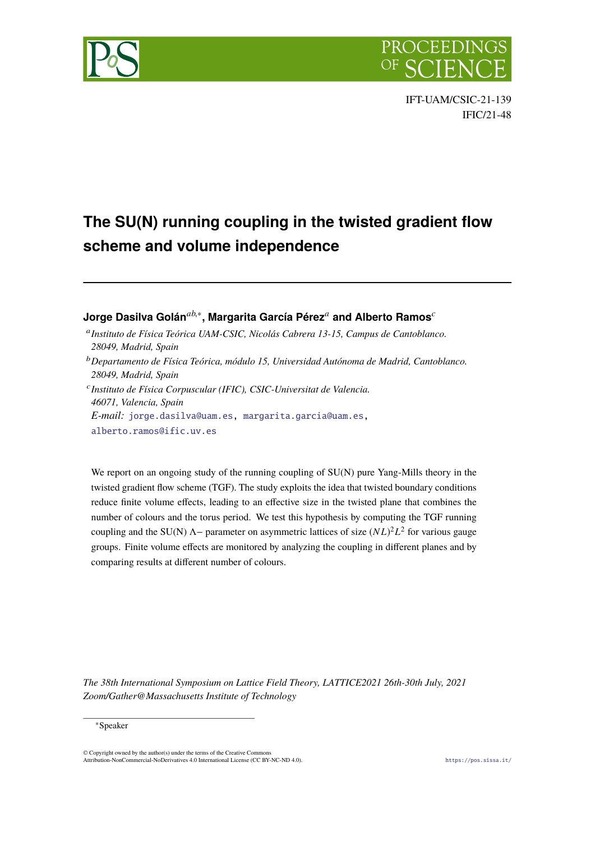



# **The SU(N) running coupling in the twisted gradient flow scheme and volume independence**

# **Jorge Dasilva Golán***ab*,∗**, Margarita García Pérez***<sup>a</sup>* **and Alberto Ramos***<sup>c</sup>*

- <sup>a</sup>*Instituto de Física Teórica UAM-CSIC, Nicolás Cabrera 13-15, Campus de Cantoblanco. 28049, Madrid, Spain*
- <sup>b</sup>*Departamento de Física Teórica, módulo 15, Universidad Autónoma de Madrid, Cantoblanco. 28049, Madrid, Spain*
- <sup>c</sup>*Instituto de Física Corpuscular (IFIC), CSIC-Universitat de Valencia. 46071, Valencia, Spain*

*E-mail:* [jorge.dasilva@uam.es](mailto:jorge.dasilva@uam.es), [margarita.garcia@uam.es,](mailto:margarita.garcia@uam.es)

[alberto.ramos@ific.uv.es](mailto:alberto.ramos@ific.uv.es)

We report on an ongoing study of the running coupling of  $SU(N)$  pure Yang-Mills theory in the twisted gradient flow scheme (TGF). The study exploits the idea that twisted boundary conditions reduce finite volume effects, leading to an effective size in the twisted plane that combines the number of colours and the torus period. We test this hypothesis by computing the TGF running coupling and the SU(N) Λ− parameter on asymmetric lattices of size (*NL*) <sup>2</sup>*L*<sup>2</sup> for various gauge groups. Finite volume effects are monitored by analyzing the coupling in different planes and by comparing results at different number of colours.

*The 38th International Symposium on Lattice Field Theory, LATTICE2021 26th-30th July, 2021 Zoom/Gather@Massachusetts Institute of Technology*

#### ∗Speaker

 $\odot$  Copyright owned by the author(s) under the terms of the Creative Common Attribution-NonCommercial-NoDerivatives 4.0 International License (CC BY-NC-ND 4.0). <https://pos.sissa.it/>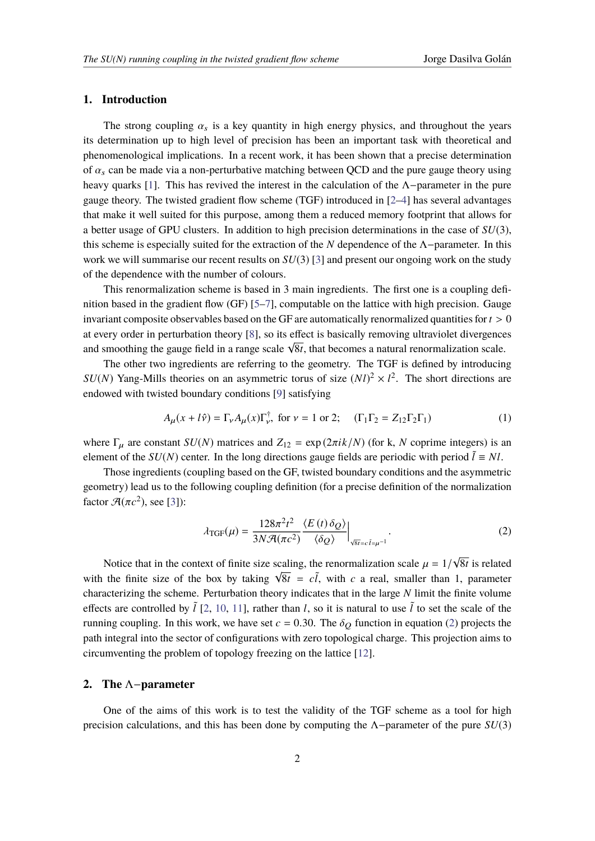### **1. Introduction**

The strong coupling  $\alpha_s$  is a key quantity in high energy physics, and throughout the years its determination up to high level of precision has been an important task with theoretical and phenomenological implications. In a recent work, it has been shown that a precise determination of  $\alpha_s$  can be made via a non-perturbative matching between OCD and the pure gauge theory using heavy quarks [\[1\]](#page-8-0). This has revived the interest in the calculation of the  $\Lambda$ -parameter in the pure gauge theory. The twisted gradient flow scheme (TGF) introduced in [[2](#page-8-1)–[4](#page-8-2)] has several advantages that make it well suited for this purpose, among them a reduced memory footprint that allows for a better usage of GPU clusters. In addition to high precision determinations in the case of *SU*(3), this scheme is especially suited for the extraction of the *N* dependence of the Λ−parameter. In this work we will summarise our recent results on *SU*(3) [3] and p[re](#page-8-3)sent our ongoing work on the study of the dependence with the number of colours.

This renormalization scheme is based in 3 main ingredients. The first one is a coupling definition based in the gradient flow (GF) [\[5](#page-8-4)[–7\]](#page-8-5), computable on the lattice with high precision. Gauge invariant composite observables based on the GF are automatically renormalized quantities for  $t > 0$ at every order in perturbation theory [\[8\]](#page-8-6), so its effect is basically removing ultraviolet divergences and smoothing the gauge field in a range scale  $\sqrt{8t}$ , that becomes a natural renormalization scale.

The other two ingredients are referring to the geometry. The TGF is defined by introducing *SU*(*N*) Yang-Mills theories on an asymmetric torus of size  $(Nl)^2 \times l^2$ . The short directions are endowed with twisted boundary conditions [[9](#page-8-7)] satisfying

$$
A_{\mu}(x+l\hat{v}) = \Gamma_{\nu}A_{\mu}(x)\Gamma_{\nu}^{\dagger}, \text{ for } \nu = 1 \text{ or } 2; \quad (\Gamma_1\Gamma_2 = Z_{12}\Gamma_2\Gamma_1) \tag{1}
$$

where  $\Gamma_u$  are constant *SU(N)* matrices and  $Z_{12} = \exp(2\pi i k/N)$  (for k, *N* coprime integers) is an element of the *SU(N)* center. In the long directions gauge fields are periodic with period  $\tilde{l} \equiv NI$ .

Those ingredients (coupling based on the GF, twisted boundary conditions and the asymmetric geometry) lead us to the following coupling definition (for a precise definition of the normalization factor  $\mathcal{A}(\pi c^2)$ , see [3]):

<span id="page-1-0"></span>
$$
\lambda_{\text{TGF}}(\mu) = \frac{128\pi^2 t^2}{3N\mathcal{A}(\pi c^2)} \frac{\langle E(t)\,\delta_Q\rangle}{\langle \delta_Q\rangle}\Big|_{\sqrt{8t} = c\,\bar{t} = \mu^{-1}}.
$$

Notice that in the context of finite size scaling, the renormalization scale  $\mu = 1/\sqrt{8t}$  is related with the finite size of the box by taking  $\sqrt{8t} = c\tilde{l}$ , with *c* a real, smaller than 1, parameter characterizing the scheme. Perturbation theory indicates that in the large *N* limit the finite volume effects are controlled by  $\tilde{l}$  [[2](#page-8-1), [10](#page-8-8), [11](#page-8-9)], rather than *l*, so it is natural to use  $\tilde{l}$  to set the scale of the running coupling. In this work, we have set  $c = 0.30$ . The  $\delta$ <sup>O</sup> function in equation (2) projec[ts](#page-1-0) the path integral into the sector of configurations with zero topological charge. This projection aims to circumventing the problem of topology freezing on the lattice [\[12\]](#page-8-10).

## **2. The** Λ−**parameter**

One of the aims of this work is to test the validity of the TGF scheme as a tool for high precision calculations, and this has been done by computing the Λ−parameter of the pure *SU*(3)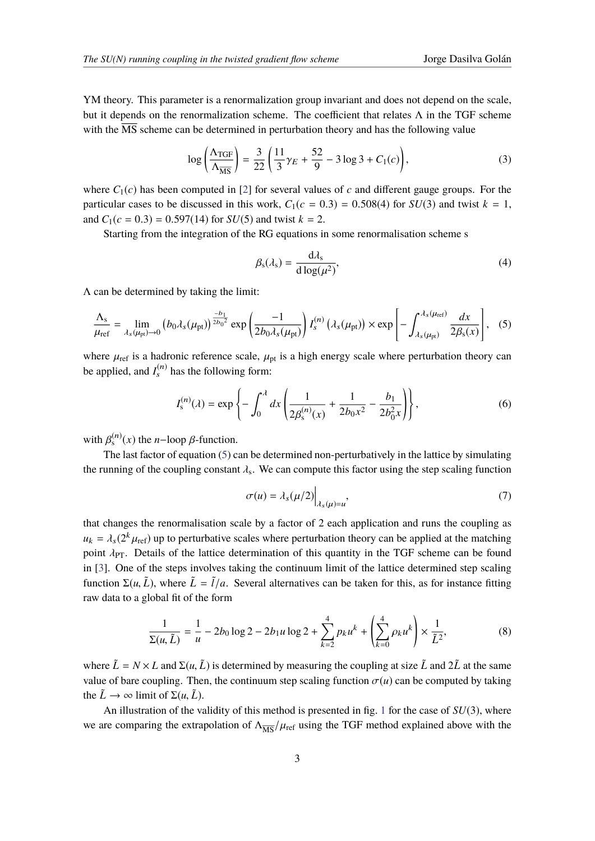YM theory. This parameter is a renormalization group invariant and does not depend on the scale, but it depends on the renormalization scheme. The coefficient that relates Λ in the TGF scheme with the  $\overline{MS}$  scheme can be determined in perturbation theory and has the following value

<span id="page-2-1"></span>
$$
\log\left(\frac{\Lambda_{\text{TGF}}}{\Lambda_{\overline{\text{MS}}}}\right) = \frac{3}{22}\left(\frac{11}{3}\gamma_E + \frac{52}{9} - 3\log 3 + C_1(c)\right),\tag{3}
$$

where  $C_1(c)$  has been computed in [2] for [se](#page-8-1)veral values of *c* and different gauge groups. For the particular cases to be discussed in this work,  $C_1(c = 0.3) = 0.508(4)$  for  $SU(3)$  and twist  $k = 1$ , and  $C_1(c = 0.3) = 0.597(14)$  for  $SU(5)$  and twist  $k = 2$ .

Starting from the integration of the RG equations in some renormalisation scheme s

$$
\beta_{\rm s}(\lambda_{\rm s}) = \frac{\mathrm{d}\lambda_{\rm s}}{\mathrm{d}\log(\mu^2)},\tag{4}
$$

Λ can be determined by taking the limit:

<span id="page-2-0"></span>
$$
\frac{\Lambda_s}{\mu_{\rm ref}} = \lim_{\lambda_s(\mu_{\rm pt}) \to 0} \left( b_0 \lambda_s(\mu_{\rm pt}) \right)^{\frac{-b_1}{2b_0^2}} \exp\left( \frac{-1}{2b_0 \lambda_s(\mu_{\rm pt})} \right) I_s^{(n)}\left( \lambda_s(\mu_{\rm pt}) \right) \times \exp\left[ - \int_{\lambda_s(\mu_{\rm pt})}^{\lambda_s(\mu_{\rm ref})} \frac{dx}{2\beta_s(x)} \right], \quad (5)
$$

where  $\mu_{ref}$  is a hadronic reference scale,  $\mu_{pt}$  is a high energy scale where perturbation theory can be applied, and  $I_s^{(n)}$  has the following form:

$$
I_s^{(n)}(\lambda) = \exp\left\{-\int_0^\lambda dx \left(\frac{1}{2\beta_s^{(n)}(x)} + \frac{1}{2b_0x^2} - \frac{b_1}{2b_0^2x}\right)\right\},\tag{6}
$$

with  $\beta_s^{(n)}(x)$  the *n*−loop  $\beta$ -function.

The last factor of equation  $(5)$  can be determined non-perturbatively in the lattice by simulating the running of the coupling constant  $\lambda_s$ . We can compute this factor using the step scaling function

$$
\sigma(u) = \lambda_s(\mu/2) \Big|_{\lambda_s(\mu) = u'},\tag{7}
$$

that changes the renormalisation scale by a factor of 2 each application and runs the coupling as  $u_k = \lambda_s(2^k \mu_{\text{ref}})$  up to perturbative scales where perturbation theory can be applied at the matching point  $\lambda_{PT}$ . Details of the lattice determination of this quantity in the TGF scheme can be found in [[3](#page-8-3)]. One of the steps involves taking the continuum limit of the lattice determined step scaling function  $\Sigma(u, \tilde{L})$ , where  $\tilde{L} = \tilde{l}/a$ . Several alternatives can be taken for this, as for instance fitting raw data to a global fit of the form

$$
\frac{1}{\Sigma(u,\tilde{L})} = \frac{1}{u} - 2b_0 \log 2 - 2b_1 u \log 2 + \sum_{k=2}^{4} p_k u^k + \left(\sum_{k=0}^{4} \rho_k u^k\right) \times \frac{1}{\tilde{L}^2},\tag{8}
$$

where  $\tilde{L} = N \times L$  and  $\Sigma(u, \tilde{L})$  is determined by measuring the coupling at size  $\tilde{L}$  and  $2\tilde{L}$  at the same value of bare coupling. Then, the continuum step scaling function  $\sigma(u)$  can be computed by taking the  $\tilde{L} \rightarrow \infty$  limit of  $\Sigma(u, \tilde{L})$ .

An illustration of the validity of this method is presented in fig. [1](#page-3-0) for the case of *SU*(3), where we are comparing the extrapolation of  $\Lambda_{\overline{MS}}/\mu_{\text{ref}}$  using the TGF method explained above with the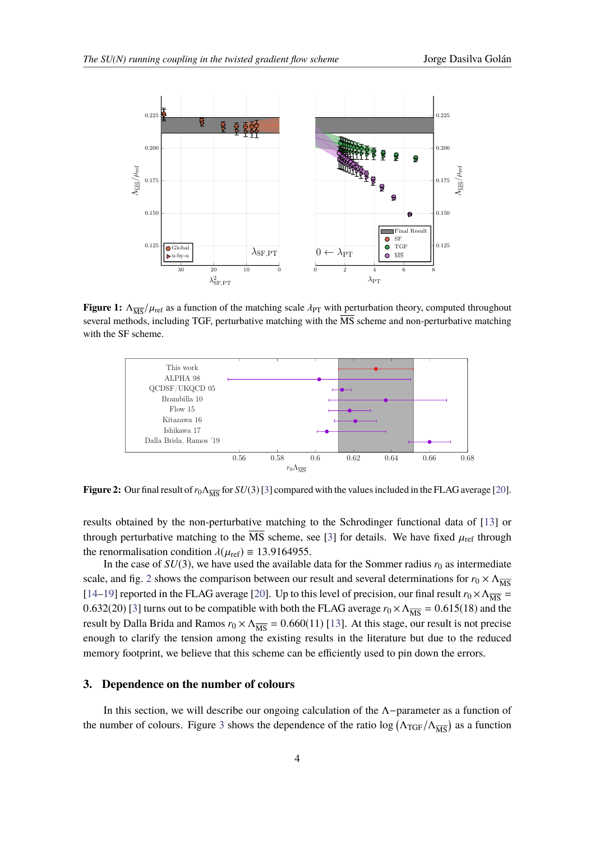<span id="page-3-0"></span>

**Figure 1:**  $\Lambda_{\overline{MS}}/\mu_{\text{ref}}$  as a function of the matching scale  $\lambda_{PT}$  with perturbation theory, computed throughout several methods, including TGF, perturbative matching with the  $\overline{\text{MS}}$  scheme and non-perturbative matching with the SF scheme.

<span id="page-3-1"></span>

**Figure 2:** Our final result of  $r_0 \Lambda_{\overline{MS}}$  $r_0 \Lambda_{\overline{MS}}$  $r_0 \Lambda_{\overline{MS}}$  for  $SU(3)$  [3] compared with the values included in the FLAG average [20].

results obtained by the non-perturbative matching to the Schrodinger functional data of [\[13](#page-8-12)] or through perturbative matching to the  $\overline{\text{MS}}$  scheme, see [[3](#page-8-3)] for details. We have fixed  $\mu_{\text{ref}}$  through the renormalisation condition  $\lambda(\mu_{ref}) \equiv 13.9164955$ .

In the case of  $SU(3)$ , we have used the available data for the Sommer radius  $r_0$  as intermediate scale, and fig. [2](#page-3-1) shows the comparison between our result and several determinations for  $r_0 \times \Lambda_{\overline{MS}}$ [[14](#page-8-13)[–19](#page-8-14)] reported in the FLAG average [\[20](#page-8-11)]. Up to this level of precision, our final result  $r_0 \times \Lambda_{\overline{MS}} =$ 0.632(20) [3] [tu](#page-8-3)rns out to be compatible with both the FLAG average  $r_0 \times \Lambda_{\overline{MS}} = 0.615(18)$  and the result by Dalla Brida and Ramos  $r_0 \times \Lambda_{\overline{MS}} = 0.660(11)$  [13]. At this [sta](#page-8-12)ge, our result is not precise enough to clarify the tension among the existing results in the literature but due to the reduced memory footprint, we believe that this scheme can be efficiently used to pin down the errors.

## **3. Dependence on the number of colours**

In this section, we will describe our ongoing calculation of the Λ−parameter as a function of the number of colours. Figure [3](#page-4-0) shows the dependence of the ratio  $\log (\Lambda_{TGF}/\Lambda_{\overline{MS}})$  as a function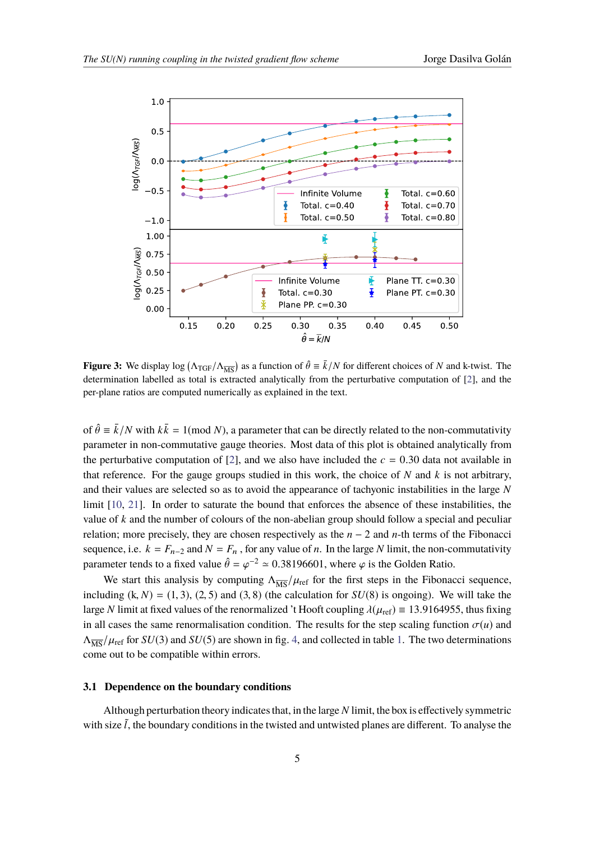<span id="page-4-0"></span>

**Figure 3:** We display  $\log (\Lambda_{\text{TGF}}/\Lambda_{\overline{\text{MS}}})$  as a function of  $\hat{\theta} \equiv \bar{k}/N$  for different choices of *N* and k-twist. The determination labelled as total is extracted analytically from the perturbative computation of [\[2](#page-8-1)], and the per-plane ratios are computed numerically as explained in the text.

of  $\hat{\theta} \equiv \bar{k}/N$  with  $k\bar{k} = 1 \pmod{N}$ , a parameter that can be directly related to the non-commutativity parameter in non-commutative gauge theories. Most data of this plot is obtained analytically from the perturbative computation of [\[2\]](#page-8-1), and we also have included the  $c = 0.30$  data not available in that reference. For the gauge groups studied in this work, the choice of *N* and *k* is not arbitrary, and their values are selected so as to avoid the appearance of tachyonic instabilities in the large *N* limit [\[10](#page-8-8), [21](#page-8-15)]. In order to saturate the bound that enforces the absence of these instabilities, the value of *k* and the number of colours of the non-abelian group should follow a special and peculiar relation; more precisely, they are chosen respectively as the *n* − 2 and *n*-th terms of the Fibonacci sequence, i.e.  $k = F_{n-2}$  and  $N = F_n$ , for any value of *n*. In the large *N* limit, the non-commutativity parameter tends to a fixed value  $\hat{\theta} = \varphi^{-2} \approx 0.38196601$ , where  $\varphi$  is the Golden Ratio.

We start this analysis by computing  $\Lambda_{\overline{MS}}/\mu_{\text{ref}}$  for the first steps in the Fibonacci sequence, including  $(k, N) = (1, 3), (2, 5)$  and  $(3, 8)$  (the calculation for  $SU(8)$  is ongoing). We will take the large *N* limit at fixed values of the renormalized 't Hooft coupling  $\lambda(\mu_{ref}) \equiv 13.9164955$ , thus fixing in all cases the same renormalisation condition. The results for the step scaling function  $\sigma(u)$  and  $\Lambda_{\overline{MS}}/\mu_{\text{ref}}$  for  $SU(3)$  and  $SU(5)$  are shown in fig. 4, and col[le](#page-5-0)cted in table 1. The two determina[tio](#page-6-0)ns come out to be compatible within errors.

# **3.1 Dependence on the boundary conditions**

Although perturbation theory indicatesthat, in the large *N* limit, the box is effectively symmetric with size  $\tilde{l}$ , the boundary conditions in the twisted and untwisted planes are different. To analyse the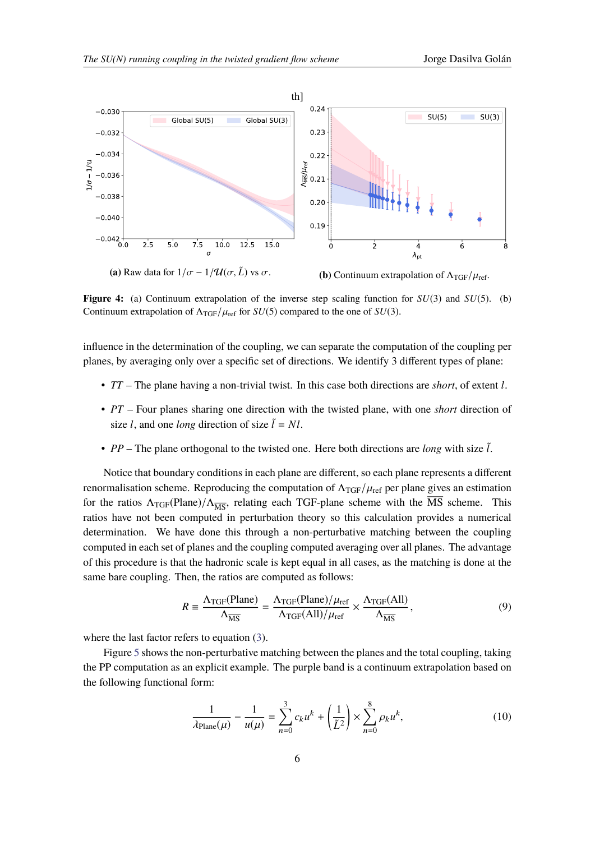<span id="page-5-0"></span>

**Figure 4:** (a) Continuum extrapolation of the inverse step scaling function for *SU*(3) and *SU*(5). (b) Continuum extrapolation of  $\Lambda_{TGF}/\mu_{ref}$  for *SU*(5) compared to the one of *SU*(3).

influence in the determination of the coupling, we can separate the computation of the coupling per planes, by averaging only over a specific set of directions. We identify 3 different types of plane:

- *TT* The plane having a non-trivial twist. In this case both directions are *short*, of extent *l*.
- *PT* Four planes sharing one direction with the twisted plane, with one *short* direction of size *l*, and one *long* direction of size  $\tilde{l} = NI$ .
- $PP$  The plane orthogonal to the twisted one. Here both directions are *long* with size  $\tilde{l}$ .

Notice that boundary conditions in each plane are different, so each plane represents a different renormalisation scheme. Reproducing the computation of  $\Lambda_{TGF}/\mu_{ref}$  per plane gives an estimation for the ratios  $\Lambda_{TGF}(Plane)/\Lambda_{\overline{MS}}$ , relating each TGF-plane scheme with the MS scheme. This ratios have not been computed in perturbation theory so this calculation provides a numerical determination. We have done this through a non-perturbative matching between the coupling computed in each set of planes and the coupling computed averaging over all planes. The advantage of this procedure is that the hadronic scale is kept equal in all cases, as the matching is done at the same bare coupling. Then, the ratios are computed as follows:

<span id="page-5-1"></span>
$$
R = \frac{\Lambda_{\text{TGF}}(\text{Plane})}{\Lambda_{\overline{\text{MS}}}} = \frac{\Lambda_{\text{TGF}}(\text{Plane})/\mu_{\text{ref}}}{\Lambda_{\text{TGF}}(\text{All})/\mu_{\text{ref}}} \times \frac{\Lambda_{\text{TGF}}(\text{All})}{\Lambda_{\overline{\text{MS}}}},
$$
(9)

where the last factor refers to equation ([3](#page-2-1)).

Figure [5](#page-6-1) shows the non-perturbative matching between the planes and the total coupling, taking the PP computation as an explicit example. The purple band is a continuum extrapolation based on the following functional form:

$$
\frac{1}{\lambda_{\text{Plane}}(\mu)} - \frac{1}{u(\mu)} = \sum_{n=0}^{3} c_k u^k + \left(\frac{1}{\tilde{L}^2}\right) \times \sum_{n=0}^{8} \rho_k u^k,
$$
 (10)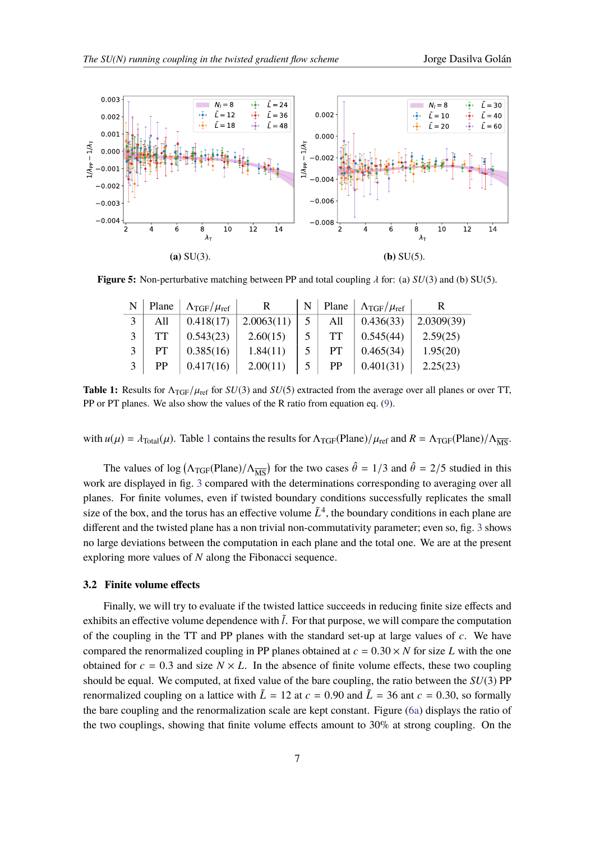<span id="page-6-1"></span>

<span id="page-6-0"></span>**Figure 5:** Non-perturbative matching between PP and total coupling  $\lambda$  for: (a) *SU*(3) and (b) SU(5).

|             | Plane | $\Lambda_{\rm TGF}/\mu_{\rm ref}$ |            | N | Plane | $\Lambda_{\text{TGF}}/\mu_{\text{ref}}$ |            |
|-------------|-------|-----------------------------------|------------|---|-------|-----------------------------------------|------------|
|             | All   | 0.418(17)                         | 2.0063(11) |   | All   | 0.436(33)                               | 2.0309(39) |
| $\mathbf 3$ |       | 0.543(23)                         | 2.60(15)   |   | TT    | 0.545(44)                               | 2.59(25)   |
| 3           | PТ    | 0.385(16)                         | 1.84(11)   |   | PТ    | 0.465(34)                               | 1.95(20)   |
| 3           | PP    | 0.417(16)                         | 2.00(11)   |   | PP    | 0.401(31)                               | 2.25(23)   |

**Table 1:** Results for  $\Lambda_{TGF}/\mu_{ref}$  for  $SU(3)$  and  $SU(5)$  extracted from the average over all planes or over TT, PP or PT planes. We also show the values of the R ratio from equation eq. ([9\)](#page-5-1).

with  $u(\mu) = \lambda_{\text{Total}}(\mu)$ . Table 1 contains the res[ul](#page-6-0)ts for  $\Lambda_{\text{TGF}}(\text{Plane})/\mu_{\text{ref}}$  and  $R = \Lambda_{\text{TGF}}(\text{Plane})/\Lambda_{\overline{\text{MS}}}.$ 

The values of log  $(\Lambda_{TGF}(Plane)/\Lambda_{\overline{MS}})$  for the two cases  $\hat{\theta} = 1/3$  and  $\hat{\theta} = 2/5$  studied in this work are displayed in fig. [3](#page-4-0) compared with the determinations corresponding to averaging over all planes. For finite volumes, even if twisted boundary conditions successfully replicates the small size of the box, and the torus has an effective volume  $\tilde{L}^4$ , the boundary conditions in each plane are different and the twisted plane has a non trivial non-commutativity parameter; even so, fig. [3](#page-4-0) shows no large deviations between the computation in each plane and the total one. We are at the present exploring more values of *N* along the Fibonacci sequence.

### **3.2 Finite volume effects**

Finally, we will try to evaluate if the twisted lattice succeeds in reducing finite size effects and exhibits an effective volume dependence with  $\tilde{l}$ . For that purpose, we will compare the computation of the coupling in the TT and PP planes with the standard set-up at large values of *c*. We have compared the renormalized coupling in PP planes obtained at  $c = 0.30 \times N$  for size L with the one obtained for  $c = 0.3$  and size  $N \times L$ . In the absence of finite volume effects, these two coupling should be equal. We computed, at fixed value of the bare coupling, the ratio between the *SU*(3) PP renormalized coupling on a lattice with  $\tilde{L} = 12$  at  $c = 0.90$  and  $\tilde{L} = 36$  ant  $c = 0.30$ , so formally the bare coupling and the renormalization scale are kept constant. Figure [\(6a](#page-7-0)) displays the ratio of the two couplings, showing that finite volume effects amount to 30% at strong coupling. On the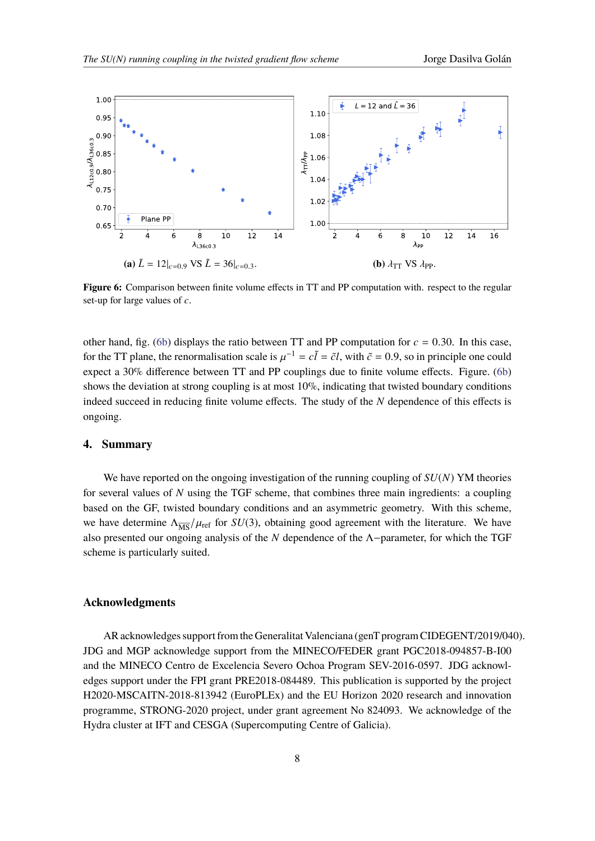<span id="page-7-0"></span>

**Figure 6:** Comparison between finite volume effects in TT and PP computation with. respect to the regular set-up for large values of *c*.

other hand, fig. ([6b\)](#page-7-0) displays the ratio between TT and PP computation for  $c = 0.30$ . In this case, for the TT plane, the renormalisation scale is  $\mu^{-1} = c\tilde{l} = \tilde{c}l$ , with  $\tilde{c} = 0.9$ , so in principle one could expect a 30% difference between TT and PP couplings due to finite volume effects. Figure. [\(6b](#page-7-0)) shows the deviation at strong coupling is at most  $10\%$ , indicating that twisted boundary conditions indeed succeed in reducing finite volume effects. The study of the *N* dependence of this effects is ongoing.

# **4. Summary**

We have reported on the ongoing investigation of the running coupling of *SU*(*N*) YM theories for several values of *N* using the TGF scheme, that combines three main ingredients: a coupling based on the GF, twisted boundary conditions and an asymmetric geometry. With this scheme, we have determine  $\Lambda_{\overline{MS}}/\mu_{\text{ref}}$  for *SU*(3), obtaining good agreement with the literature. We have also presented our ongoing analysis of the *N* dependence of the Λ−parameter, for which the TGF scheme is particularly suited.

#### **Acknowledgments**

AR acknowledges support from the Generalitat Valenciana (genT program CIDEGENT/2019/040). JDG and MGP acknowledge support from the MINECO/FEDER grant PGC2018-094857-B-I00 and the MINECO Centro de Excelencia Severo Ochoa Program SEV-2016-0597. JDG acknowledges support under the FPI grant PRE2018-084489. This publication is supported by the project H2020-MSCAITN-2018-813942 (EuroPLEx) and the EU Horizon 2020 research and innovation programme, STRONG-2020 project, under grant agreement No 824093. We acknowledge of the Hydra cluster at IFT and CESGA (Supercomputing Centre of Galicia).